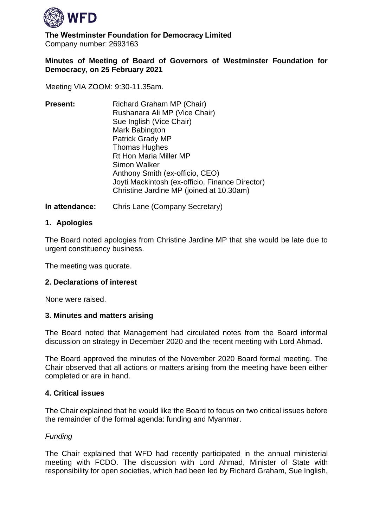

**The Westminster Foundation for Democracy Limited** Company number: 2693163 

# **Minutes of Meeting of Board of Governors of Westminster Foundation for Democracy, on 25 February 2021**

Meeting VIA ZOOM: 9:30-11.35am.

| <b>Present:</b> | Richard Graham MP (Chair)<br>Rushanara Ali MP (Vice Chair)<br>Sue Inglish (Vice Chair)<br>Mark Babington<br><b>Patrick Grady MP</b><br><b>Thomas Hughes</b><br><b>Rt Hon Maria Miller MP</b><br>Simon Walker<br>Anthony Smith (ex-officio, CEO) |
|-----------------|-------------------------------------------------------------------------------------------------------------------------------------------------------------------------------------------------------------------------------------------------|
|                 | Joyti Mackintosh (ex-officio, Finance Director)<br>Christine Jardine MP (joined at 10.30am)                                                                                                                                                     |

**In attendance:** Chris Lane (Company Secretary)

# **1. Apologies**

The Board noted apologies from Christine Jardine MP that she would be late due to urgent constituency business.

The meeting was quorate.

# **2. Declarations of interest**

None were raised.

#### **3. Minutes and matters arising**

The Board noted that Management had circulated notes from the Board informal discussion on strategy in December 2020 and the recent meeting with Lord Ahmad.

The Board approved the minutes of the November 2020 Board formal meeting. The Chair observed that all actions or matters arising from the meeting have been either completed or are in hand.

#### **4. Critical issues**

The Chair explained that he would like the Board to focus on two critical issues before the remainder of the formal agenda: funding and Myanmar.

# *Funding*

The Chair explained that WFD had recently participated in the annual ministerial meeting with FCDO. The discussion with Lord Ahmad, Minister of State with responsibility for open societies, which had been led by Richard Graham, Sue Inglish,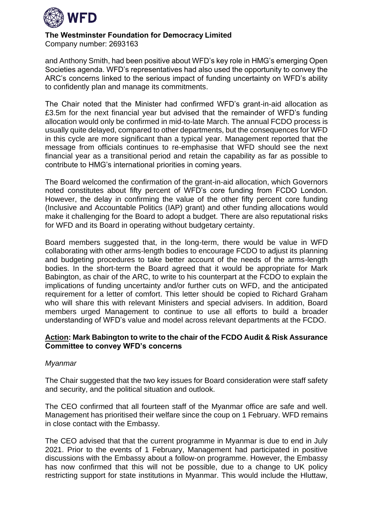

Company number: 2693163 

and Anthony Smith, had been positive about WFD's key role in HMG's emerging Open Societies agenda. WFD's representatives had also used the opportunity to convey the ARC's concerns linked to the serious impact of funding uncertainty on WFD's ability to confidently plan and manage its commitments.

The Chair noted that the Minister had confirmed WFD's grant-in-aid allocation as £3.5m for the next financial year but advised that the remainder of WFD's funding allocation would only be confirmed in mid-to-late March. The annual FCDO process is usually quite delayed, compared to other departments, but the consequences for WFD in this cycle are more significant than a typical year. Management reported that the message from officials continues to re-emphasise that WFD should see the next financial year as a transitional period and retain the capability as far as possible to contribute to HMG's international priorities in coming years.

The Board welcomed the confirmation of the grant-in-aid allocation, which Governors noted constitutes about fifty percent of WFD's core funding from FCDO London. However, the delay in confirming the value of the other fifty percent core funding (Inclusive and Accountable Politics (IAP) grant) and other funding allocations would make it challenging for the Board to adopt a budget. There are also reputational risks for WFD and its Board in operating without budgetary certainty.

Board members suggested that, in the long-term, there would be value in WFD collaborating with other arms-length bodies to encourage FCDO to adjust its planning and budgeting procedures to take better account of the needs of the arms-length bodies. In the short-term the Board agreed that it would be appropriate for Mark Babington, as chair of the ARC, to write to his counterpart at the FCDO to explain the implications of funding uncertainty and/or further cuts on WFD, and the anticipated requirement for a letter of comfort. This letter should be copied to Richard Graham who will share this with relevant Ministers and special advisers. In addition, Board members urged Management to continue to use all efforts to build a broader understanding of WFD's value and model across relevant departments at the FCDO.

#### **Action: Mark Babington to write to the chair of the FCDO Audit & Risk Assurance Committee to convey WFD's concerns**

#### *Myanmar*

The Chair suggested that the two key issues for Board consideration were staff safety and security, and the political situation and outlook.

The CEO confirmed that all fourteen staff of the Myanmar office are safe and well. Management has prioritised their welfare since the coup on 1 February. WFD remains in close contact with the Embassy.

The CEO advised that that the current programme in Myanmar is due to end in July 2021. Prior to the events of 1 February, Management had participated in positive discussions with the Embassy about a follow-on programme. However, the Embassy has now confirmed that this will not be possible, due to a change to UK policy restricting support for state institutions in Myanmar. This would include the Hluttaw,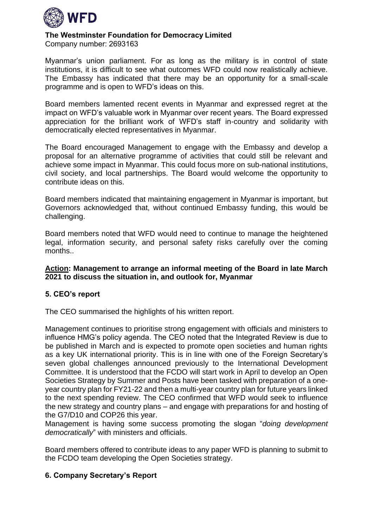

Company number: 2693163 

Myanmar's union parliament. For as long as the military is in control of state institutions, it is difficult to see what outcomes WFD could now realistically achieve. The Embassy has indicated that there may be an opportunity for a small-scale programme and is open to WFD's ideas on this.

Board members lamented recent events in Myanmar and expressed regret at the impact on WFD's valuable work in Myanmar over recent years. The Board expressed appreciation for the brilliant work of WFD's staff in-country and solidarity with democratically elected representatives in Myanmar.

The Board encouraged Management to engage with the Embassy and develop a proposal for an alternative programme of activities that could still be relevant and achieve some impact in Myanmar. This could focus more on sub-national institutions, civil society, and local partnerships. The Board would welcome the opportunity to contribute ideas on this.

Board members indicated that maintaining engagement in Myanmar is important, but Governors acknowledged that, without continued Embassy funding, this would be challenging.

Board members noted that WFD would need to continue to manage the heightened legal, information security, and personal safety risks carefully over the coming months..

# **Action: Management to arrange an informal meeting of the Board in late March 2021 to discuss the situation in, and outlook for, Myanmar**

# **5. CEO's report**

The CEO summarised the highlights of his written report.

Management continues to prioritise strong engagement with officials and ministers to influence HMG's policy agenda. The CEO noted that the Integrated Review is due to be published in March and is expected to promote open societies and human rights as a key UK international priority. This is in line with one of the Foreign Secretary's seven global challenges announced previously to the International Development Committee. It is understood that the FCDO will start work in April to develop an Open Societies Strategy by Summer and Posts have been tasked with preparation of a oneyear country plan for FY21-22 and then a multi-year country plan for future years linked to the next spending review. The CEO confirmed that WFD would seek to influence the new strategy and country plans – and engage with preparations for and hosting of the G7/D10 and COP26 this year.

Management is having some success promoting the slogan "*doing development democratically*" with ministers and officials.

Board members offered to contribute ideas to any paper WFD is planning to submit to the FCDO team developing the Open Societies strategy.

# **6. Company Secretary's Report**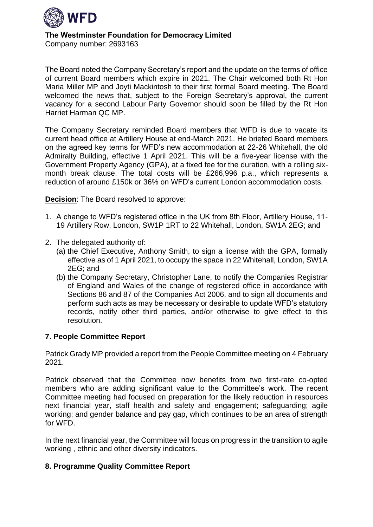

Company number: 2693163 

The Board noted the Company Secretary's report and the update on the terms of office of current Board members which expire in 2021. The Chair welcomed both Rt Hon Maria Miller MP and Joyti Mackintosh to their first formal Board meeting. The Board welcomed the news that, subject to the Foreign Secretary's approval, the current vacancy for a second Labour Party Governor should soon be filled by the Rt Hon Harriet Harman QC MP.

The Company Secretary reminded Board members that WFD is due to vacate its current head office at Artillery House at end-March 2021. He briefed Board members on the agreed key terms for WFD's new accommodation at 22-26 Whitehall, the old Admiralty Building, effective 1 April 2021. This will be a five-year license with the Government Property Agency (GPA), at a fixed fee for the duration, with a rolling sixmonth break clause. The total costs will be £266,996 p.a., which represents a reduction of around £150k or 36% on WFD's current London accommodation costs.

**Decision**: The Board resolved to approve:

- 1. A change to WFD's registered office in the UK from 8th Floor, Artillery House, 11- 19 Artillery Row, London, SW1P 1RT to 22 Whitehall, London, SW1A 2EG; and
- 2. The delegated authority of:
	- (a) the Chief Executive, Anthony Smith, to sign a license with the GPA, formally effective as of 1 April 2021, to occupy the space in 22 Whitehall, London, SW1A 2EG; and
	- (b) the Company Secretary, Christopher Lane, to notify the Companies Registrar of England and Wales of the change of registered office in accordance with Sections 86 and 87 of the Companies Act 2006, and to sign all documents and perform such acts as may be necessary or desirable to update WFD's statutory records, notify other third parties, and/or otherwise to give effect to this resolution.

# **7. People Committee Report**

Patrick Grady MP provided a report from the People Committee meeting on 4 February 2021.

Patrick observed that the Committee now benefits from two first-rate co-opted members who are adding significant value to the Committee's work. The recent Committee meeting had focused on preparation for the likely reduction in resources next financial year, staff health and safety and engagement; safeguarding; agile working; and gender balance and pay gap, which continues to be an area of strength for WFD.

In the next financial year, the Committee will focus on progress in the transition to agile working , ethnic and other diversity indicators.

# **8. Programme Quality Committee Report**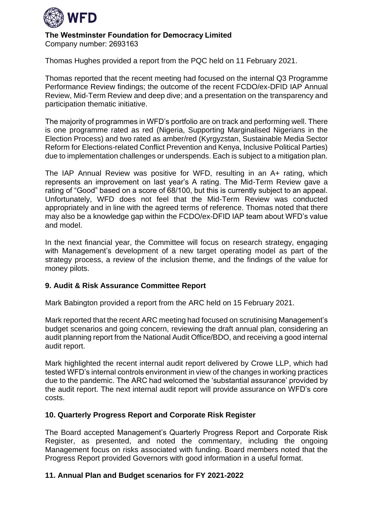

Company number: 2693163 

Thomas Hughes provided a report from the PQC held on 11 February 2021.

Thomas reported that the recent meeting had focused on the internal Q3 Programme Performance Review findings; the outcome of the recent FCDO/ex-DFID IAP Annual Review, Mid-Term Review and deep dive; and a presentation on the transparency and participation thematic initiative.

The majority of programmes in WFD's portfolio are on track and performing well. There is one programme rated as red (Nigeria, Supporting Marginalised Nigerians in the Election Process) and two rated as amber/red (Kyrgyzstan, Sustainable Media Sector Reform for Elections-related Conflict Prevention and Kenya, Inclusive Political Parties) due to implementation challenges or underspends. Each is subject to a mitigation plan.

The IAP Annual Review was positive for WFD, resulting in an A+ rating, which represents an improvement on last year's A rating. The Mid-Term Review gave a rating of "Good" based on a score of 68/100, but this is currently subject to an appeal. Unfortunately, WFD does not feel that the Mid-Term Review was conducted appropriately and in line with the agreed terms of reference. Thomas noted that there may also be a knowledge gap within the FCDO/ex-DFID IAP team about WFD's value and model.

In the next financial year, the Committee will focus on research strategy, engaging with Management's development of a new target operating model as part of the strategy process, a review of the inclusion theme, and the findings of the value for money pilots.

# **9. Audit & Risk Assurance Committee Report**

Mark Babington provided a report from the ARC held on 15 February 2021.

Mark reported that the recent ARC meeting had focused on scrutinising Management's budget scenarios and going concern, reviewing the draft annual plan, considering an audit planning report from the National Audit Office/BDO, and receiving a good internal audit report.

Mark highlighted the recent internal audit report delivered by Crowe LLP, which had tested WFD's internal controls environment in view of the changes in working practices due to the pandemic. The ARC had welcomed the 'substantial assurance' provided by the audit report. The next internal audit report will provide assurance on WFD's core costs.

# **10. Quarterly Progress Report and Corporate Risk Register**

The Board accepted Management's Quarterly Progress Report and Corporate Risk Register, as presented, and noted the commentary, including the ongoing Management focus on risks associated with funding. Board members noted that the Progress Report provided Governors with good information in a useful format.

# **11. Annual Plan and Budget scenarios for FY 2021-2022**